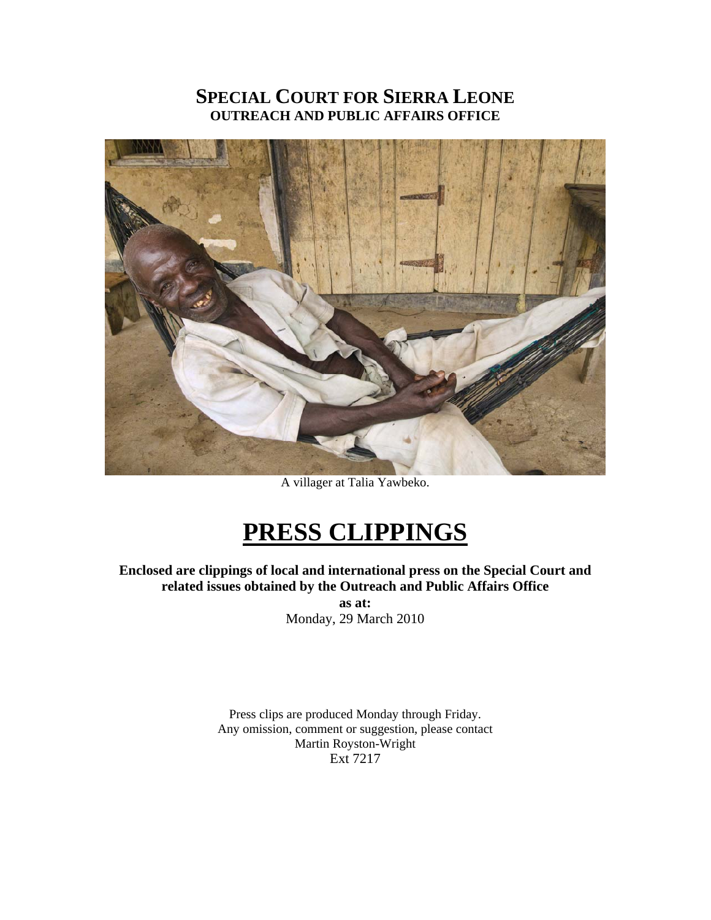## **SPECIAL COURT FOR SIERRA LEONE OUTREACH AND PUBLIC AFFAIRS OFFICE**



A villager at Talia Yawbeko.

# **PRESS CLIPPINGS**

**Enclosed are clippings of local and international press on the Special Court and related issues obtained by the Outreach and Public Affairs Office as at:** 

Monday, 29 March 2010

Press clips are produced Monday through Friday. Any omission, comment or suggestion, please contact Martin Royston-Wright Ext 7217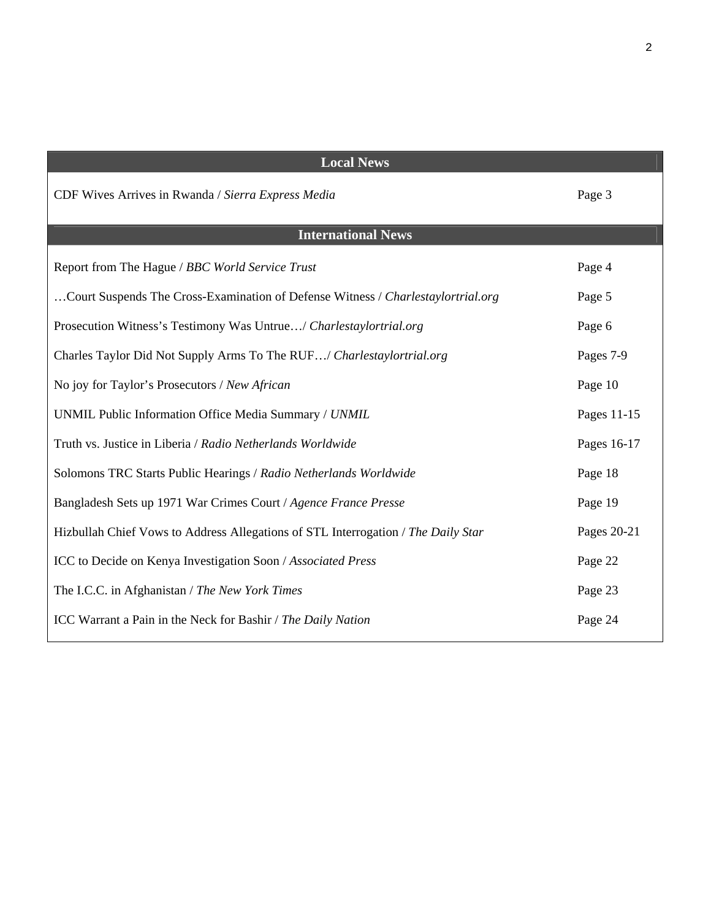| <b>Local News</b>                                                                 |             |
|-----------------------------------------------------------------------------------|-------------|
| CDF Wives Arrives in Rwanda / Sierra Express Media                                | Page 3      |
| <b>International News</b>                                                         |             |
| Report from The Hague / BBC World Service Trust                                   | Page 4      |
| Court Suspends The Cross-Examination of Defense Witness / Charlestaylortrial.org  | Page 5      |
| Prosecution Witness's Testimony Was Untrue/ Charlestaylortrial.org                | Page 6      |
| Charles Taylor Did Not Supply Arms To The RUF/ Charlestaylortrial.org             | Pages 7-9   |
| No joy for Taylor's Prosecutors / New African                                     | Page 10     |
| UNMIL Public Information Office Media Summary / UNMIL                             | Pages 11-15 |
| Truth vs. Justice in Liberia / Radio Netherlands Worldwide                        | Pages 16-17 |
| Solomons TRC Starts Public Hearings / Radio Netherlands Worldwide                 | Page 18     |
| Bangladesh Sets up 1971 War Crimes Court / Agence France Presse                   | Page 19     |
| Hizbullah Chief Vows to Address Allegations of STL Interrogation / The Daily Star | Pages 20-21 |
| ICC to Decide on Kenya Investigation Soon / Associated Press                      | Page 22     |
| The I.C.C. in Afghanistan / The New York Times                                    | Page 23     |
| ICC Warrant a Pain in the Neck for Bashir / The Daily Nation                      | Page 24     |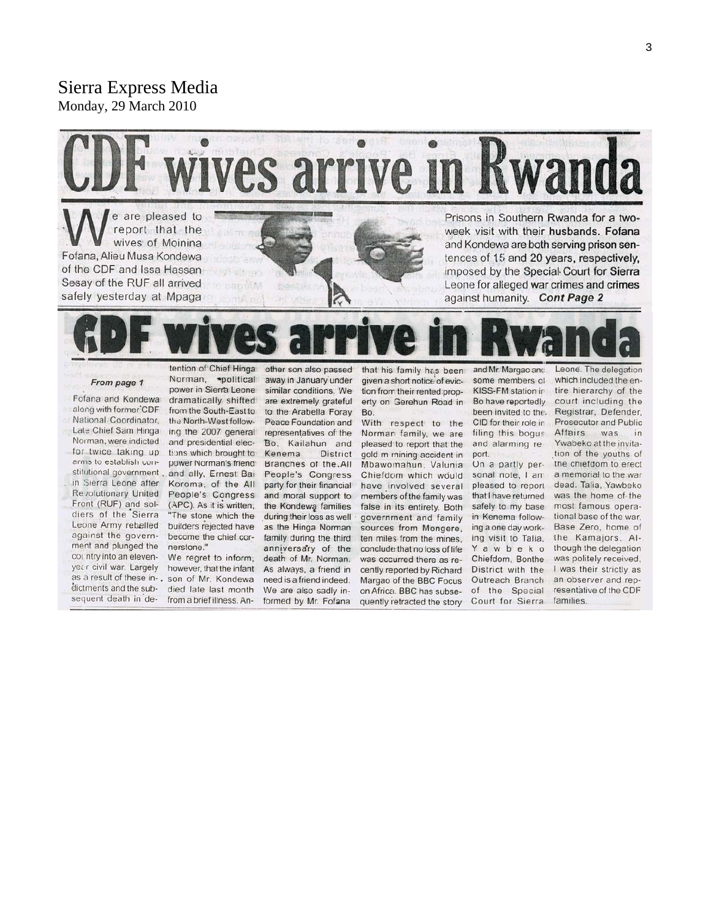### Sierra Express Media Monday, 29 March 2010



report that the wives of Moinina Fofana, Alieu Musa Kondewa of the CDF and Issa Hassan Sesay of the RUF all arrived safely yesterday at Mpaga



week visit with their husbands. Fofana and Kondewa are both serving prison sentences of 15 and 20 years, respectively, imposed by the Special Court for Sierra Leone for alleged war crimes and crimes against humanity. Cont Page 2

#### From page 1

Fofana and Kondewa along with former CDF National Coordinator, Late Chief Sam Hinga Norman, were indicted for twice taking up arms to establish constitutional government in Sierra Leone after Revolutionary United Front (RUF) and soldiers of the Sierra Leone Army rebelled against the government and plunged the country into an elevenyear civil war. Largely dictments and the subsequent death in de-

tention of Chief Hinga other son also passed Norman, *\*political* power in Sierra Leone dramatically shifted from the South-East to the North-West following the 2007 general and presidential elections which brought to power Norman's friend and ally, Ernest Bai Koroma, of the All People's Congress (APC). As it is written, "The stone which the builders rejected have become the chief cornerstone ' We regret to inform, however, that the infant

as a result of these in-, son of Mr. Kondewa died late last month from a brief illness. An-

away in January under similar conditions. We are extremely grateful to the Arabella Forav Peace Foundation and representatives of the Bo. Kailahun and Kenema **District** Branches of the All People's Congress party for their financial and moral support to the Kondewa families during their loss as well as the Hinga Norman family during the third anniversary of the death of Mr. Norman. As always, a friend in need is a friend indeed. We are also sadly informed by Mr. Fofana

that his family has been given a short notice of eviction from their rented property on Gerehun Road in Bo.

With respect to the Norman family, we are pleased to report that the gold m mining accident in Mhawomahun Valunia Chiefdom which would have involved several members of the family was false in its entirety. Both government and family sources from Mongere. ten miles from the mines. conclude that no loss of life was occurred there as recently reported by Richard Margao of the BBC Focus on Africa. BBC has subsequently retracted the story and Mr. Margao and some members of KISS-FM station in Bo have reportedly been invited to the. CID for their role in filing this boqus and alarming re

port. On a partly personal note, I am pleased to report that I have returned safely to my base in Kenema following a one day working visit to Talia, Yawbeko Chiefdom, Bonthe District with the Outreach Branch of the Special Court for Sierra

Leone. The delegation which included the entire hierarchy of the court including the Registrar, Defender. Prosecutor and Public Affairs was  $in$ Ywabeko at the invitation of the youths of the chiefdom to erect a memorial to the war dead. Talia, Yawbeko was the home of the most famous operational base of the war, Base Zero, home of the Kamajors. Although the delegation was politely received. I was their strictly as an observer and representative of the CDF families.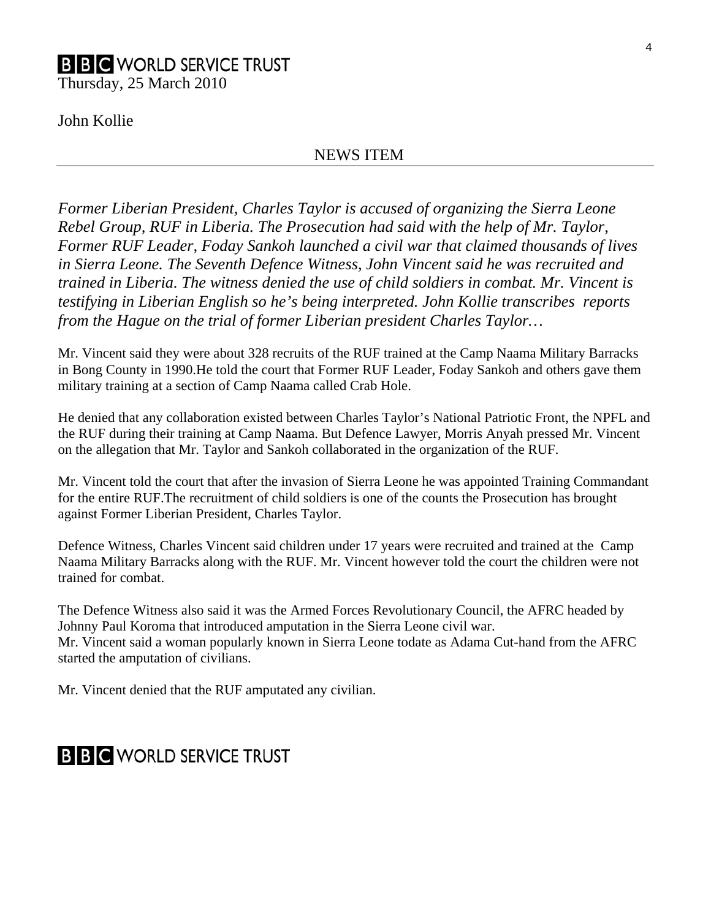### **B B C** WORLD SERVICE TRUST Thursday, 25 March 2010

John Kollie

### NEWS ITEM

*Former Liberian President, Charles Taylor is accused of organizing the Sierra Leone Rebel Group, RUF in Liberia. The Prosecution had said with the help of Mr. Taylor, Former RUF Leader, Foday Sankoh launched a civil war that claimed thousands of lives in Sierra Leone. The Seventh Defence Witness, John Vincent said he was recruited and trained in Liberia. The witness denied the use of child soldiers in combat. Mr. Vincent is testifying in Liberian English so he's being interpreted. John Kollie transcribes reports from the Hague on the trial of former Liberian president Charles Taylor…* 

Mr. Vincent said they were about 328 recruits of the RUF trained at the Camp Naama Military Barracks in Bong County in 1990.He told the court that Former RUF Leader, Foday Sankoh and others gave them military training at a section of Camp Naama called Crab Hole.

He denied that any collaboration existed between Charles Taylor's National Patriotic Front, the NPFL and the RUF during their training at Camp Naama. But Defence Lawyer, Morris Anyah pressed Mr. Vincent on the allegation that Mr. Taylor and Sankoh collaborated in the organization of the RUF.

Mr. Vincent told the court that after the invasion of Sierra Leone he was appointed Training Commandant for the entire RUF.The recruitment of child soldiers is one of the counts the Prosecution has brought against Former Liberian President, Charles Taylor.

Defence Witness, Charles Vincent said children under 17 years were recruited and trained at the Camp Naama Military Barracks along with the RUF. Mr. Vincent however told the court the children were not trained for combat.

The Defence Witness also said it was the Armed Forces Revolutionary Council, the AFRC headed by Johnny Paul Koroma that introduced amputation in the Sierra Leone civil war. Mr. Vincent said a woman popularly known in Sierra Leone todate as Adama Cut-hand from the AFRC started the amputation of civilians.

Mr. Vincent denied that the RUF amputated any civilian.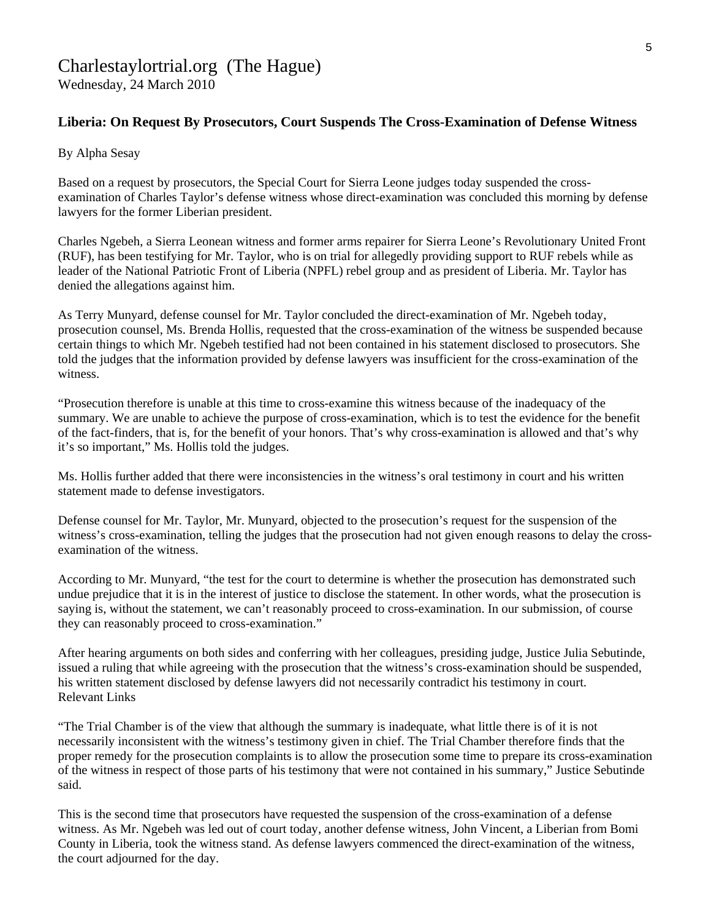#### **Liberia: On Request By Prosecutors, Court Suspends The Cross-Examination of Defense Witness**

By Alpha Sesay

Based on a request by prosecutors, the Special Court for Sierra Leone judges today suspended the crossexamination of Charles Taylor's defense witness whose direct-examination was concluded this morning by defense lawyers for the former Liberian president.

Charles Ngebeh, a Sierra Leonean witness and former arms repairer for Sierra Leone's Revolutionary United Front (RUF), has been testifying for Mr. Taylor, who is on trial for allegedly providing support to RUF rebels while as leader of the National Patriotic Front of Liberia (NPFL) rebel group and as president of Liberia. Mr. Taylor has denied the allegations against him.

As Terry Munyard, defense counsel for Mr. Taylor concluded the direct-examination of Mr. Ngebeh today, prosecution counsel, Ms. Brenda Hollis, requested that the cross-examination of the witness be suspended because certain things to which Mr. Ngebeh testified had not been contained in his statement disclosed to prosecutors. She told the judges that the information provided by defense lawyers was insufficient for the cross-examination of the witness.

"Prosecution therefore is unable at this time to cross-examine this witness because of the inadequacy of the summary. We are unable to achieve the purpose of cross-examination, which is to test the evidence for the benefit of the fact-finders, that is, for the benefit of your honors. That's why cross-examination is allowed and that's why it's so important," Ms. Hollis told the judges.

Ms. Hollis further added that there were inconsistencies in the witness's oral testimony in court and his written statement made to defense investigators.

Defense counsel for Mr. Taylor, Mr. Munyard, objected to the prosecution's request for the suspension of the witness's cross-examination, telling the judges that the prosecution had not given enough reasons to delay the crossexamination of the witness.

According to Mr. Munyard, "the test for the court to determine is whether the prosecution has demonstrated such undue prejudice that it is in the interest of justice to disclose the statement. In other words, what the prosecution is saying is, without the statement, we can't reasonably proceed to cross-examination. In our submission, of course they can reasonably proceed to cross-examination."

After hearing arguments on both sides and conferring with her colleagues, presiding judge, Justice Julia Sebutinde, issued a ruling that while agreeing with the prosecution that the witness's cross-examination should be suspended, his written statement disclosed by defense lawyers did not necessarily contradict his testimony in court. Relevant Links

"The Trial Chamber is of the view that although the summary is inadequate, what little there is of it is not necessarily inconsistent with the witness's testimony given in chief. The Trial Chamber therefore finds that the proper remedy for the prosecution complaints is to allow the prosecution some time to prepare its cross-examination of the witness in respect of those parts of his testimony that were not contained in his summary," Justice Sebutinde said.

This is the second time that prosecutors have requested the suspension of the cross-examination of a defense witness. As Mr. Ngebeh was led out of court today, another defense witness, John Vincent, a Liberian from Bomi County in Liberia, took the witness stand. As defense lawyers commenced the direct-examination of the witness, the court adjourned for the day.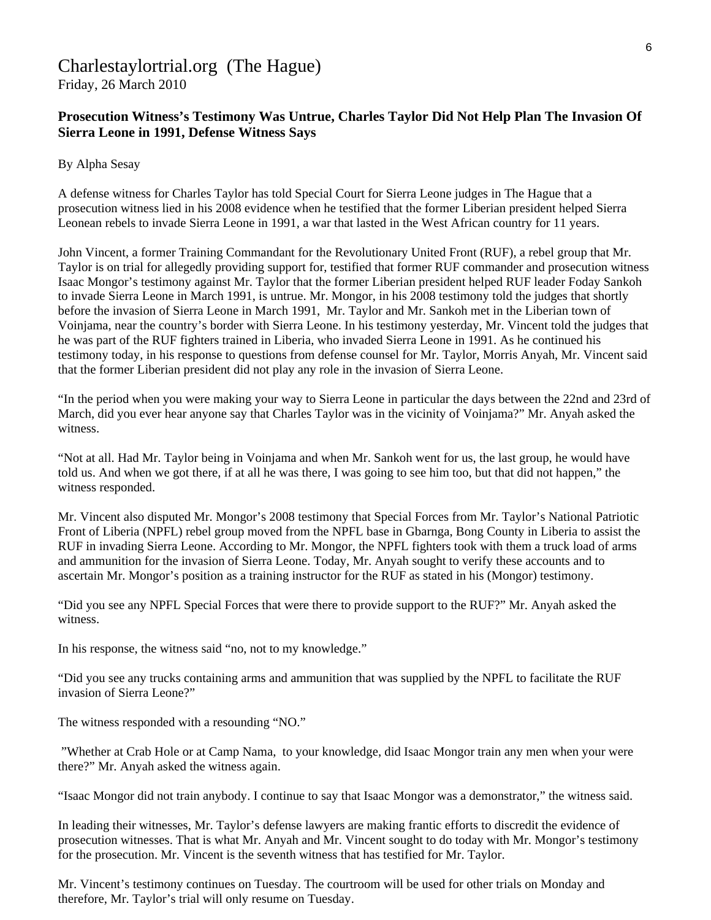#### Charlestaylortrial.org (The Hague) Friday, 26 March 2010

#### **Prosecution Witness's Testimony Was Untrue, Charles Taylor Did Not Help Plan The Invasion Of Sierra Leone in 1991, Defense Witness Says**

By Alpha Sesay

A defense witness for Charles Taylor has told Special Court for Sierra Leone judges in The Hague that a prosecution witness lied in his 2008 evidence when he testified that the former Liberian president helped Sierra Leonean rebels to invade Sierra Leone in 1991, a war that lasted in the West African country for 11 years.

John Vincent, a former Training Commandant for the Revolutionary United Front (RUF), a rebel group that Mr. Taylor is on trial for allegedly providing support for, testified that former RUF commander and prosecution witness Isaac Mongor's testimony against Mr. Taylor that the former Liberian president helped RUF leader Foday Sankoh to invade Sierra Leone in March 1991, is untrue. Mr. Mongor, in his 2008 testimony told the judges that shortly before the invasion of Sierra Leone in March 1991, Mr. Taylor and Mr. Sankoh met in the Liberian town of Voinjama, near the country's border with Sierra Leone. In his testimony yesterday, Mr. Vincent told the judges that he was part of the RUF fighters trained in Liberia, who invaded Sierra Leone in 1991. As he continued his testimony today, in his response to questions from defense counsel for Mr. Taylor, Morris Anyah, Mr. Vincent said that the former Liberian president did not play any role in the invasion of Sierra Leone.

"In the period when you were making your way to Sierra Leone in particular the days between the 22nd and 23rd of March, did you ever hear anyone say that Charles Taylor was in the vicinity of Voinjama?" Mr. Anyah asked the witness.

"Not at all. Had Mr. Taylor being in Voinjama and when Mr. Sankoh went for us, the last group, he would have told us. And when we got there, if at all he was there, I was going to see him too, but that did not happen," the witness responded.

Mr. Vincent also disputed Mr. Mongor's 2008 testimony that Special Forces from Mr. Taylor's National Patriotic Front of Liberia (NPFL) rebel group moved from the NPFL base in Gbarnga, Bong County in Liberia to assist the RUF in invading Sierra Leone. According to Mr. Mongor, the NPFL fighters took with them a truck load of arms and ammunition for the invasion of Sierra Leone. Today, Mr. Anyah sought to verify these accounts and to ascertain Mr. Mongor's position as a training instructor for the RUF as stated in his (Mongor) testimony.

"Did you see any NPFL Special Forces that were there to provide support to the RUF?" Mr. Anyah asked the witness.

In his response, the witness said "no, not to my knowledge."

"Did you see any trucks containing arms and ammunition that was supplied by the NPFL to facilitate the RUF invasion of Sierra Leone?"

The witness responded with a resounding "NO."

 "Whether at Crab Hole or at Camp Nama, to your knowledge, did Isaac Mongor train any men when your were there?" Mr. Anyah asked the witness again.

"Isaac Mongor did not train anybody. I continue to say that Isaac Mongor was a demonstrator," the witness said.

In leading their witnesses, Mr. Taylor's defense lawyers are making frantic efforts to discredit the evidence of prosecution witnesses. That is what Mr. Anyah and Mr. Vincent sought to do today with Mr. Mongor's testimony for the prosecution. Mr. Vincent is the seventh witness that has testified for Mr. Taylor.

Mr. Vincent's testimony continues on Tuesday. The courtroom will be used for other trials on Monday and therefore, Mr. Taylor's trial will only resume on Tuesday.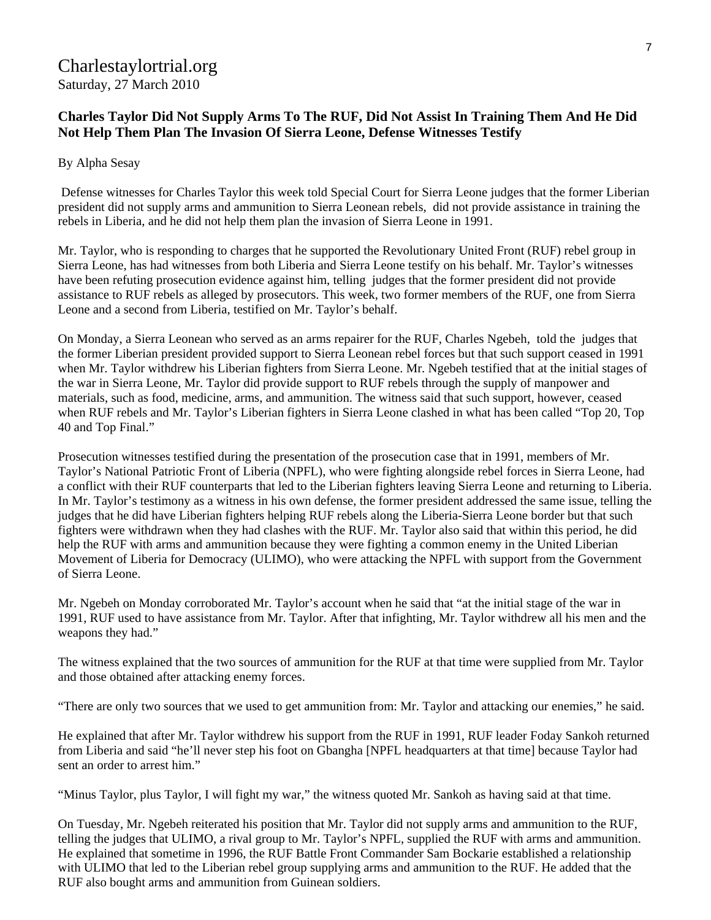### Charlestaylortrial.org Saturday, 27 March 2010

### **Charles Taylor Did Not Supply Arms To The RUF, Did Not Assist In Training Them And He Did Not Help Them Plan The Invasion Of Sierra Leone, Defense Witnesses Testify**

#### By Alpha Sesay

 Defense witnesses for Charles Taylor this week told Special Court for Sierra Leone judges that the former Liberian president did not supply arms and ammunition to Sierra Leonean rebels, did not provide assistance in training the rebels in Liberia, and he did not help them plan the invasion of Sierra Leone in 1991.

Mr. Taylor, who is responding to charges that he supported the Revolutionary United Front (RUF) rebel group in Sierra Leone, has had witnesses from both Liberia and Sierra Leone testify on his behalf. Mr. Taylor's witnesses have been refuting prosecution evidence against him, telling judges that the former president did not provide assistance to RUF rebels as alleged by prosecutors. This week, two former members of the RUF, one from Sierra Leone and a second from Liberia, testified on Mr. Taylor's behalf.

On Monday, a Sierra Leonean who served as an arms repairer for the RUF, Charles Ngebeh, told the judges that the former Liberian president provided support to Sierra Leonean rebel forces but that such support ceased in 1991 when Mr. Taylor withdrew his Liberian fighters from Sierra Leone. Mr. Ngebeh testified that at the initial stages of the war in Sierra Leone, Mr. Taylor did provide support to RUF rebels through the supply of manpower and materials, such as food, medicine, arms, and ammunition. The witness said that such support, however, ceased when RUF rebels and Mr. Taylor's Liberian fighters in Sierra Leone clashed in what has been called "Top 20, Top 40 and Top Final."

Prosecution witnesses testified during the presentation of the prosecution case that in 1991, members of Mr. Taylor's National Patriotic Front of Liberia (NPFL), who were fighting alongside rebel forces in Sierra Leone, had a conflict with their RUF counterparts that led to the Liberian fighters leaving Sierra Leone and returning to Liberia. In Mr. Taylor's testimony as a witness in his own defense, the former president addressed the same issue, telling the judges that he did have Liberian fighters helping RUF rebels along the Liberia-Sierra Leone border but that such fighters were withdrawn when they had clashes with the RUF. Mr. Taylor also said that within this period, he did help the RUF with arms and ammunition because they were fighting a common enemy in the United Liberian Movement of Liberia for Democracy (ULIMO), who were attacking the NPFL with support from the Government of Sierra Leone.

Mr. Ngebeh on Monday corroborated Mr. Taylor's account when he said that "at the initial stage of the war in 1991, RUF used to have assistance from Mr. Taylor. After that infighting, Mr. Taylor withdrew all his men and the weapons they had."

The witness explained that the two sources of ammunition for the RUF at that time were supplied from Mr. Taylor and those obtained after attacking enemy forces.

"There are only two sources that we used to get ammunition from: Mr. Taylor and attacking our enemies," he said.

He explained that after Mr. Taylor withdrew his support from the RUF in 1991, RUF leader Foday Sankoh returned from Liberia and said "he'll never step his foot on Gbangha [NPFL headquarters at that time] because Taylor had sent an order to arrest him."

"Minus Taylor, plus Taylor, I will fight my war," the witness quoted Mr. Sankoh as having said at that time.

On Tuesday, Mr. Ngebeh reiterated his position that Mr. Taylor did not supply arms and ammunition to the RUF, telling the judges that ULIMO, a rival group to Mr. Taylor's NPFL, supplied the RUF with arms and ammunition. He explained that sometime in 1996, the RUF Battle Front Commander Sam Bockarie established a relationship with ULIMO that led to the Liberian rebel group supplying arms and ammunition to the RUF. He added that the RUF also bought arms and ammunition from Guinean soldiers.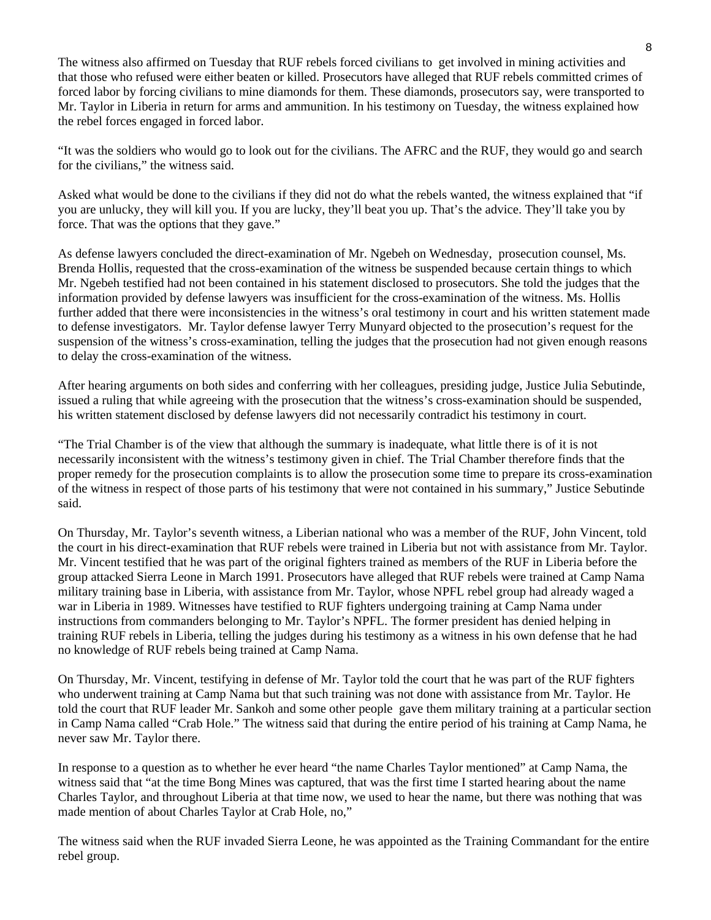The witness also affirmed on Tuesday that RUF rebels forced civilians to get involved in mining activities and that those who refused were either beaten or killed. Prosecutors have alleged that RUF rebels committed crimes of forced labor by forcing civilians to mine diamonds for them. These diamonds, prosecutors say, were transported to Mr. Taylor in Liberia in return for arms and ammunition. In his testimony on Tuesday, the witness explained how the rebel forces engaged in forced labor.

"It was the soldiers who would go to look out for the civilians. The AFRC and the RUF, they would go and search for the civilians," the witness said.

Asked what would be done to the civilians if they did not do what the rebels wanted, the witness explained that "if you are unlucky, they will kill you. If you are lucky, they'll beat you up. That's the advice. They'll take you by force. That was the options that they gave."

As defense lawyers concluded the direct-examination of Mr. Ngebeh on Wednesday, prosecution counsel, Ms. Brenda Hollis, requested that the cross-examination of the witness be suspended because certain things to which Mr. Ngebeh testified had not been contained in his statement disclosed to prosecutors. She told the judges that the information provided by defense lawyers was insufficient for the cross-examination of the witness. Ms. Hollis further added that there were inconsistencies in the witness's oral testimony in court and his written statement made to defense investigators. Mr. Taylor defense lawyer Terry Munyard objected to the prosecution's request for the suspension of the witness's cross-examination, telling the judges that the prosecution had not given enough reasons to delay the cross-examination of the witness.

After hearing arguments on both sides and conferring with her colleagues, presiding judge, Justice Julia Sebutinde, issued a ruling that while agreeing with the prosecution that the witness's cross-examination should be suspended, his written statement disclosed by defense lawyers did not necessarily contradict his testimony in court.

"The Trial Chamber is of the view that although the summary is inadequate, what little there is of it is not necessarily inconsistent with the witness's testimony given in chief. The Trial Chamber therefore finds that the proper remedy for the prosecution complaints is to allow the prosecution some time to prepare its cross-examination of the witness in respect of those parts of his testimony that were not contained in his summary," Justice Sebutinde said.

On Thursday, Mr. Taylor's seventh witness, a Liberian national who was a member of the RUF, John Vincent, told the court in his direct-examination that RUF rebels were trained in Liberia but not with assistance from Mr. Taylor. Mr. Vincent testified that he was part of the original fighters trained as members of the RUF in Liberia before the group attacked Sierra Leone in March 1991. Prosecutors have alleged that RUF rebels were trained at Camp Nama military training base in Liberia, with assistance from Mr. Taylor, whose NPFL rebel group had already waged a war in Liberia in 1989. Witnesses have testified to RUF fighters undergoing training at Camp Nama under instructions from commanders belonging to Mr. Taylor's NPFL. The former president has denied helping in training RUF rebels in Liberia, telling the judges during his testimony as a witness in his own defense that he had no knowledge of RUF rebels being trained at Camp Nama.

On Thursday, Mr. Vincent, testifying in defense of Mr. Taylor told the court that he was part of the RUF fighters who underwent training at Camp Nama but that such training was not done with assistance from Mr. Taylor. He told the court that RUF leader Mr. Sankoh and some other people gave them military training at a particular section in Camp Nama called "Crab Hole." The witness said that during the entire period of his training at Camp Nama, he never saw Mr. Taylor there.

In response to a question as to whether he ever heard "the name Charles Taylor mentioned" at Camp Nama, the witness said that "at the time Bong Mines was captured, that was the first time I started hearing about the name Charles Taylor, and throughout Liberia at that time now, we used to hear the name, but there was nothing that was made mention of about Charles Taylor at Crab Hole, no,"

The witness said when the RUF invaded Sierra Leone, he was appointed as the Training Commandant for the entire rebel group.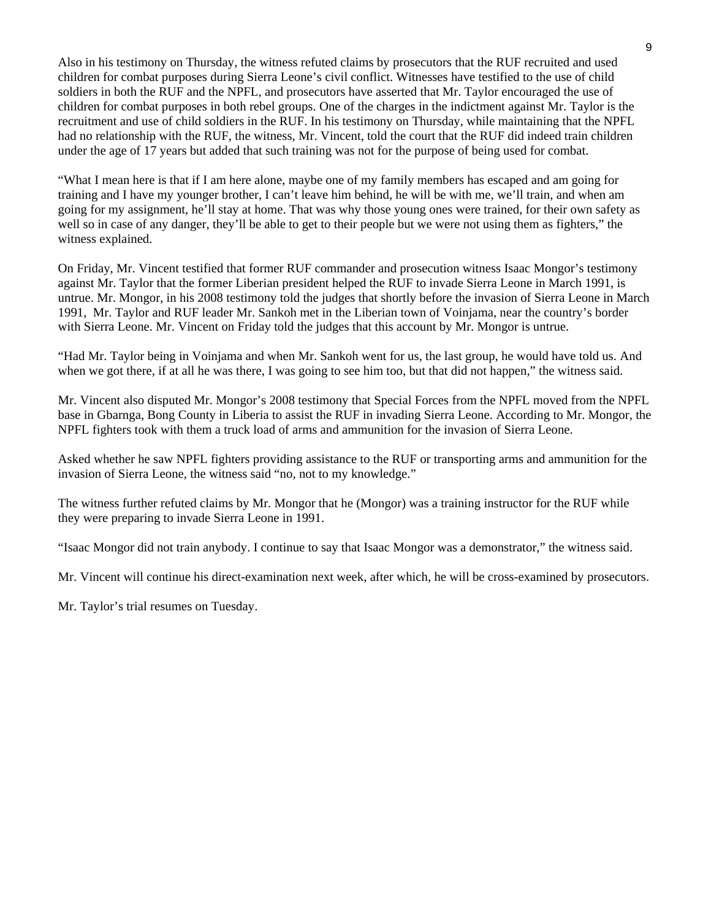Also in his testimony on Thursday, the witness refuted claims by prosecutors that the RUF recruited and used children for combat purposes during Sierra Leone's civil conflict. Witnesses have testified to the use of child soldiers in both the RUF and the NPFL, and prosecutors have asserted that Mr. Taylor encouraged the use of children for combat purposes in both rebel groups. One of the charges in the indictment against Mr. Taylor is the recruitment and use of child soldiers in the RUF. In his testimony on Thursday, while maintaining that the NPFL had no relationship with the RUF, the witness, Mr. Vincent, told the court that the RUF did indeed train children under the age of 17 years but added that such training was not for the purpose of being used for combat.

"What I mean here is that if I am here alone, maybe one of my family members has escaped and am going for training and I have my younger brother, I can't leave him behind, he will be with me, we'll train, and when am going for my assignment, he'll stay at home. That was why those young ones were trained, for their own safety as well so in case of any danger, they'll be able to get to their people but we were not using them as fighters," the witness explained.

On Friday, Mr. Vincent testified that former RUF commander and prosecution witness Isaac Mongor's testimony against Mr. Taylor that the former Liberian president helped the RUF to invade Sierra Leone in March 1991, is untrue. Mr. Mongor, in his 2008 testimony told the judges that shortly before the invasion of Sierra Leone in March 1991, Mr. Taylor and RUF leader Mr. Sankoh met in the Liberian town of Voinjama, near the country's border with Sierra Leone. Mr. Vincent on Friday told the judges that this account by Mr. Mongor is untrue.

"Had Mr. Taylor being in Voinjama and when Mr. Sankoh went for us, the last group, he would have told us. And when we got there, if at all he was there, I was going to see him too, but that did not happen," the witness said.

Mr. Vincent also disputed Mr. Mongor's 2008 testimony that Special Forces from the NPFL moved from the NPFL base in Gbarnga, Bong County in Liberia to assist the RUF in invading Sierra Leone. According to Mr. Mongor, the NPFL fighters took with them a truck load of arms and ammunition for the invasion of Sierra Leone.

Asked whether he saw NPFL fighters providing assistance to the RUF or transporting arms and ammunition for the invasion of Sierra Leone, the witness said "no, not to my knowledge."

The witness further refuted claims by Mr. Mongor that he (Mongor) was a training instructor for the RUF while they were preparing to invade Sierra Leone in 1991.

"Isaac Mongor did not train anybody. I continue to say that Isaac Mongor was a demonstrator," the witness said.

Mr. Vincent will continue his direct-examination next week, after which, he will be cross-examined by prosecutors.

Mr. Taylor's trial resumes on Tuesday.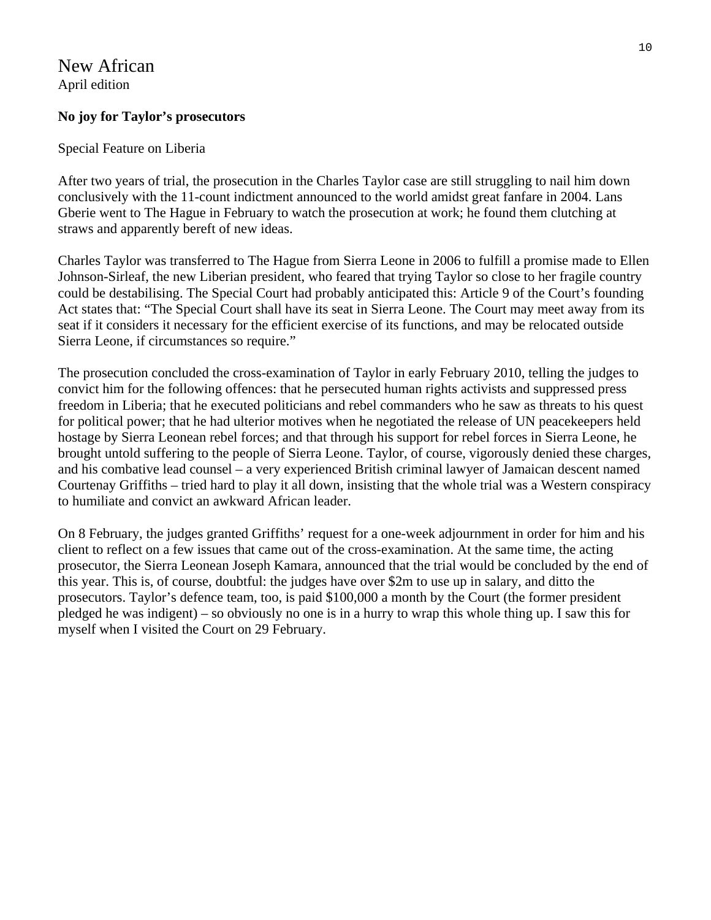### New African April edition

#### **No joy for Taylor's prosecutors**

#### Special Feature on Liberia

After two years of trial, the prosecution in the Charles Taylor case are still struggling to nail him down conclusively with the 11-count indictment announced to the world amidst great fanfare in 2004. Lans Gberie went to The Hague in February to watch the prosecution at work; he found them clutching at straws and apparently bereft of new ideas.

Charles Taylor was transferred to The Hague from Sierra Leone in 2006 to fulfill a promise made to Ellen Johnson-Sirleaf, the new Liberian president, who feared that trying Taylor so close to her fragile country could be destabilising. The Special Court had probably anticipated this: Article 9 of the Court's founding Act states that: "The Special Court shall have its seat in Sierra Leone. The Court may meet away from its seat if it considers it necessary for the efficient exercise of its functions, and may be relocated outside Sierra Leone, if circumstances so require."

The prosecution concluded the cross-examination of Taylor in early February 2010, telling the judges to convict him for the following offences: that he persecuted human rights activists and suppressed press freedom in Liberia; that he executed politicians and rebel commanders who he saw as threats to his quest for political power; that he had ulterior motives when he negotiated the release of UN peacekeepers held hostage by Sierra Leonean rebel forces; and that through his support for rebel forces in Sierra Leone, he brought untold suffering to the people of Sierra Leone. Taylor, of course, vigorously denied these charges, and his combative lead counsel – a very experienced British criminal lawyer of Jamaican descent named Courtenay Griffiths – tried hard to play it all down, insisting that the whole trial was a Western conspiracy to humiliate and convict an awkward African leader.

On 8 February, the judges granted Griffiths' request for a one-week adjournment in order for him and his client to reflect on a few issues that came out of the cross-examination. At the same time, the acting prosecutor, the Sierra Leonean Joseph Kamara, announced that the trial would be concluded by the end of this year. This is, of course, doubtful: the judges have over \$2m to use up in salary, and ditto the prosecutors. Taylor's defence team, too, is paid \$100,000 a month by the Court (the former president pledged he was indigent) – so obviously no one is in a hurry to wrap this whole thing up. I saw this for myself when I visited the Court on 29 February.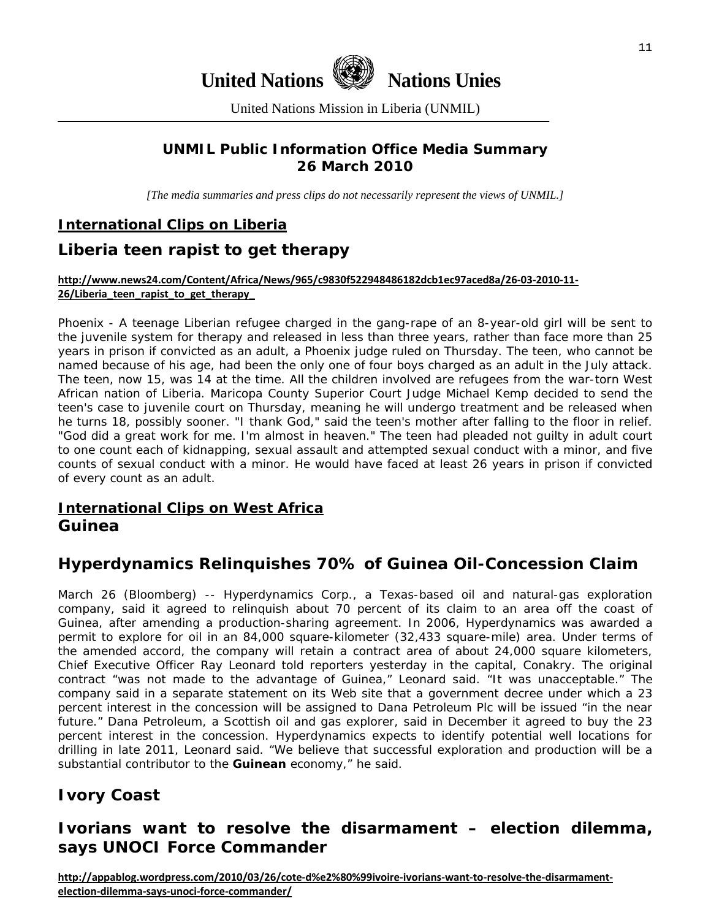

United Nations Mission in Liberia (UNMIL)

### **UNMIL Public Information Office Media Summary 26 March 2010**

*[The media summaries and press clips do not necessarily represent the views of UNMIL.]* 

### **International Clips on Liberia**

### **Liberia teen rapist to get therapy**

#### **[http://www.news24.com/Content/Africa/News/965/c9830f522948486182dcb1ec97aced8a/26](http://www.news24.com/Content/Africa/News/965/c9830f522948486182dcb1ec97aced8a/26-03-2010-11-26/Liberia_teen_rapist_to_get_therapy_)‐03‐2010‐11‐ [26/Liberia\\_teen\\_rapist\\_to\\_get\\_therapy\\_](http://www.news24.com/Content/Africa/News/965/c9830f522948486182dcb1ec97aced8a/26-03-2010-11-26/Liberia_teen_rapist_to_get_therapy_)**

Phoenix - A teenage Liberian refugee charged in the gang-rape of an 8-year-old girl will be sent to the juvenile system for therapy and released in less than three years, rather than face more than 25 years in prison if convicted as an adult, a Phoenix judge ruled on Thursday. The teen, who cannot be named because of his age, had been the only one of four boys charged as an adult in the July attack. The teen, now 15, was 14 at the time. All the children involved are refugees from the war-torn West African nation of Liberia. Maricopa County Superior Court Judge Michael Kemp decided to send the teen's case to juvenile court on Thursday, meaning he will undergo treatment and be released when he turns 18, possibly sooner. "I thank God," said the teen's mother after falling to the floor in relief. "God did a great work for me. I'm almost in heaven." The teen had pleaded not guilty in adult court to one count each of kidnapping, sexual assault and attempted sexual conduct with a minor, and five counts of sexual conduct with a minor. He would have faced at least 26 years in prison if convicted of every count as an adult.

### **International Clips on West Africa Guinea**

### **Hyperdynamics Relinquishes 70% of Guinea Oil-Concession Claim**

March 26 (Bloomberg) -- Hyperdynamics Corp., a Texas-based oil and natural-gas exploration company, said it agreed to relinquish about 70 percent of its claim to an area off the coast of Guinea, after amending a production-sharing agreement. In 2006, Hyperdynamics was awarded a permit to explore for oil in an 84,000 square-kilometer (32,433 square-mile) area. Under terms of the amended accord, the company will retain a contract area of about 24,000 square kilometers, Chief Executive Officer Ray Leonard told reporters yesterday in the capital, Conakry. The original contract "was not made to the advantage of Guinea," Leonard said. "It was unacceptable." The company said in a separate statement on its Web site that a government decree under which a 23 percent interest in the concession will be assigned to Dana Petroleum Plc will be issued "in the near future." Dana Petroleum, a Scottish oil and gas explorer, said in December it agreed to buy the 23 percent interest in the concession. Hyperdynamics expects to identify potential well locations for drilling in late 2011, Leonard said. "We believe that successful exploration and production will be a substantial contributor to the **Guinean** economy," he said.

### **Ivory Coast**

### **Ivorians want to resolve the disarmament – election dilemma, says UNOCI Force Commander**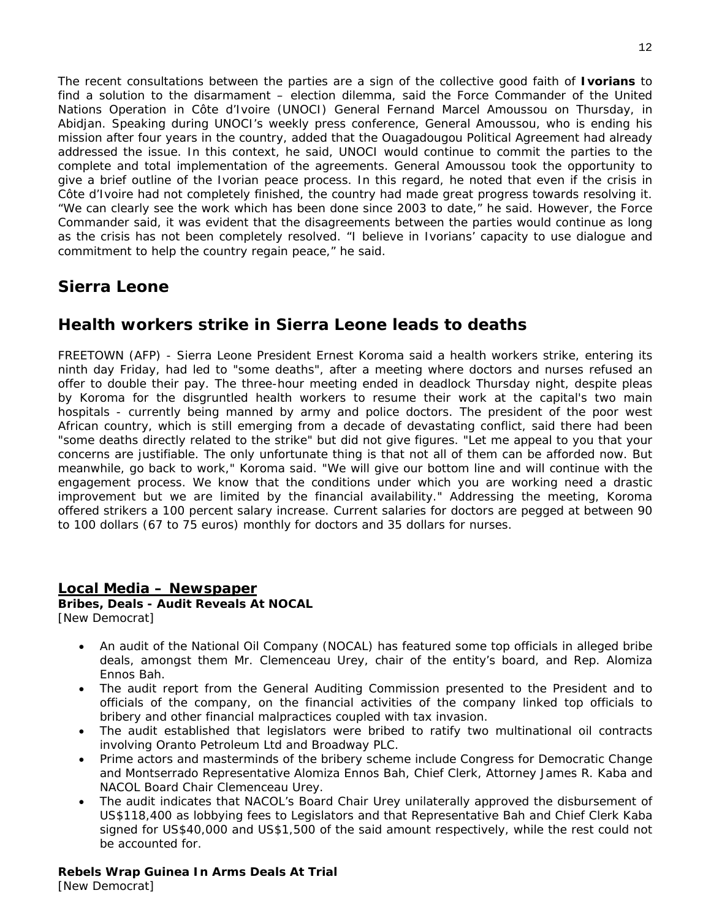The recent consultations between the parties are a sign of the collective good faith of **Ivorians** to find a solution to the disarmament – election dilemma, said the Force Commander of the United Nations Operation in Côte d'Ivoire (UNOCI) General Fernand Marcel Amoussou on Thursday, in Abidjan. Speaking during UNOCI's weekly press conference, General Amoussou, who is ending his mission after four years in the country, added that the Ouagadougou Political Agreement had already addressed the issue. In this context, he said, UNOCI would continue to commit the parties to the complete and total implementation of the agreements. General Amoussou took the opportunity to give a brief outline of the Ivorian peace process. In this regard, he noted that even if the crisis in Côte d'Ivoire had not completely finished, the country had made great progress towards resolving it. "We can clearly see the work which has been done since 2003 to date," he said. However, the Force Commander said, it was evident that the disagreements between the parties would continue as long as the crisis has not been completely resolved. "I believe in Ivorians' capacity to use dialogue and commitment to help the country regain peace," he said.

### **Sierra Leone**

### **Health workers strike in Sierra Leone leads to deaths**

FREETOWN (AFP) - Sierra Leone President Ernest Koroma said a health workers strike, entering its ninth day Friday, had led to "some deaths", after a meeting where doctors and nurses refused an offer to double their pay. The three-hour meeting ended in deadlock Thursday night, despite pleas by Koroma for the disgruntled health workers to resume their work at the capital's two main hospitals - currently being manned by army and police doctors. The president of the poor west African country, which is still emerging from a decade of devastating conflict, said there had been "some deaths directly related to the strike" but did not give figures. "Let me appeal to you that your concerns are justifiable. The only unfortunate thing is that not all of them can be afforded now. But meanwhile, go back to work," Koroma said. "We will give our bottom line and will continue with the engagement process. We know that the conditions under which you are working need a drastic improvement but we are limited by the financial availability." Addressing the meeting, Koroma offered strikers a 100 percent salary increase. Current salaries for doctors are pegged at between 90 to 100 dollars (67 to 75 euros) monthly for doctors and 35 dollars for nurses.

### **Local Media – Newspaper**

### **Bribes, Deals - Audit Reveals At NOCAL**

- [New Democrat]
	- An audit of the National Oil Company (NOCAL) has featured some top officials in alleged bribe deals, amongst them Mr. Clemenceau Urey, chair of the entity's board, and Rep. Alomiza Ennos Bah.
	- The audit report from the General Auditing Commission presented to the President and to officials of the company, on the financial activities of the company linked top officials to bribery and other financial malpractices coupled with tax invasion.
	- The audit established that legislators were bribed to ratify two multinational oil contracts involving Oranto Petroleum Ltd and Broadway PLC.
	- Prime actors and masterminds of the bribery scheme include Congress for Democratic Change and Montserrado Representative Alomiza Ennos Bah, Chief Clerk, Attorney James R. Kaba and NACOL Board Chair Clemenceau Urey.
	- The audit indicates that NACOL's Board Chair Urey unilaterally approved the disbursement of US\$118,400 as lobbying fees to Legislators and that Representative Bah and Chief Clerk Kaba signed for US\$40,000 and US\$1,500 of the said amount respectively, while the rest could not be accounted for.

#### **Rebels Wrap Guinea In Arms Deals At Trial**

[New Democrat]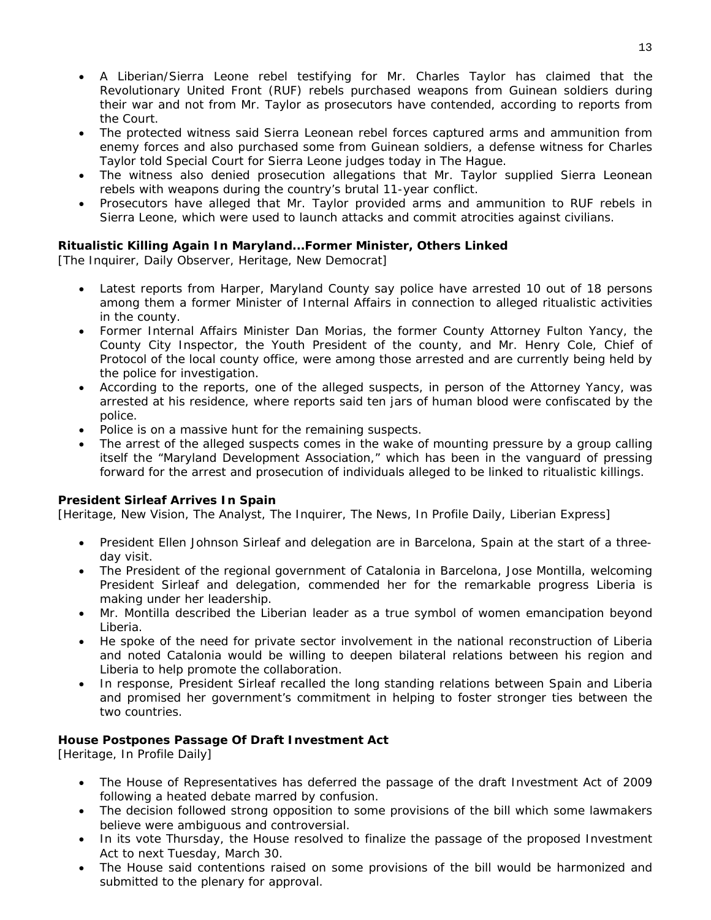- A Liberian/Sierra Leone rebel testifying for Mr. Charles Taylor has claimed that the Revolutionary United Front (RUF) rebels purchased weapons from Guinean soldiers during their war and not from Mr. Taylor as prosecutors have contended, according to reports from the Court.
- The protected witness said Sierra Leonean rebel forces captured arms and ammunition from enemy forces and also purchased some from Guinean soldiers, a defense witness for Charles Taylor told Special Court for Sierra Leone judges today in The Hague.
- The witness also denied prosecution allegations that Mr. Taylor supplied Sierra Leonean rebels with weapons during the country's brutal 11-year conflict.
- Prosecutors have alleged that Mr. Taylor provided arms and ammunition to RUF rebels in Sierra Leone, which were used to launch attacks and commit atrocities against civilians.

#### **Ritualistic Killing Again In Maryland...Former Minister, Others Linked**

[The Inquirer, Daily Observer, Heritage, New Democrat]

- Latest reports from Harper, Maryland County say police have arrested 10 out of 18 persons among them a former Minister of Internal Affairs in connection to alleged ritualistic activities in the county.
- Former Internal Affairs Minister Dan Morias, the former County Attorney Fulton Yancy, the County City Inspector, the Youth President of the county, and Mr. Henry Cole, Chief of Protocol of the local county office, were among those arrested and are currently being held by the police for investigation.
- According to the reports, one of the alleged suspects, in person of the Attorney Yancy, was arrested at his residence, where reports said ten jars of human blood were confiscated by the police.
- Police is on a massive hunt for the remaining suspects.
- The arrest of the alleged suspects comes in the wake of mounting pressure by a group calling itself the "Maryland Development Association," which has been in the vanguard of pressing forward for the arrest and prosecution of individuals alleged to be linked to ritualistic killings.

#### **President Sirleaf Arrives In Spain**

[Heritage, New Vision, The Analyst, The Inquirer, The News, In Profile Daily, Liberian Express]

- President Ellen Johnson Sirleaf and delegation are in Barcelona, Spain at the start of a threeday visit.
- The President of the regional government of Catalonia in Barcelona, Jose Montilla, welcoming President Sirleaf and delegation, commended her for the remarkable progress Liberia is making under her leadership.
- Mr. Montilla described the Liberian leader as a true symbol of women emancipation beyond Liberia.
- He spoke of the need for private sector involvement in the national reconstruction of Liberia and noted Catalonia would be willing to deepen bilateral relations between his region and Liberia to help promote the collaboration.
- In response, President Sirleaf recalled the long standing relations between Spain and Liberia and promised her government's commitment in helping to foster stronger ties between the two countries.

#### **House Postpones Passage Of Draft Investment Act**

[Heritage, In Profile Daily]

- The House of Representatives has deferred the passage of the draft Investment Act of 2009 following a heated debate marred by confusion.
- The decision followed strong opposition to some provisions of the bill which some lawmakers believe were ambiguous and controversial.
- In its vote Thursday, the House resolved to finalize the passage of the proposed Investment Act to next Tuesday, March 30.
- The House said contentions raised on some provisions of the bill would be harmonized and submitted to the plenary for approval.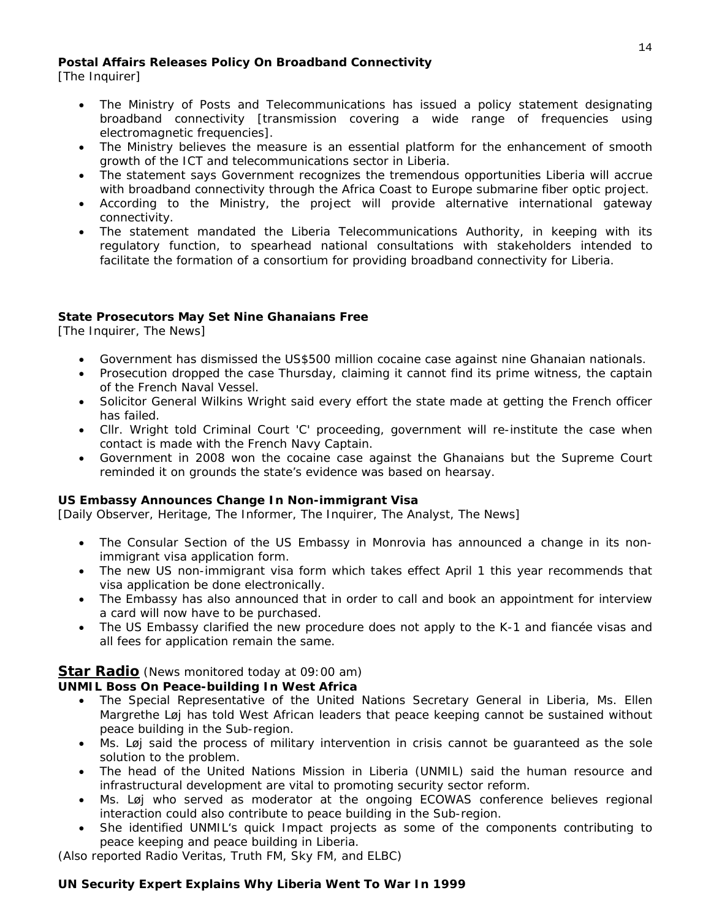#### **Postal Affairs Releases Policy On Broadband Connectivity**

[The Inquirer]

- The Ministry of Posts and Telecommunications has issued a policy statement designating broadband connectivity [transmission covering a wide range of frequencies using electromagnetic frequencies].
- The Ministry believes the measure is an essential platform for the enhancement of smooth growth of the ICT and telecommunications sector in Liberia.
- The statement says Government recognizes the tremendous opportunities Liberia will accrue with broadband connectivity through the Africa Coast to Europe submarine fiber optic project.
- According to the Ministry, the project will provide alternative international gateway connectivity.
- The statement mandated the Liberia Telecommunications Authority, in keeping with its regulatory function, to spearhead national consultations with stakeholders intended to facilitate the formation of a consortium for providing broadband connectivity for Liberia.

#### **State Prosecutors May Set Nine Ghanaians Free**

[The Inquirer, The News]

- Government has dismissed the US\$500 million cocaine case against nine Ghanaian nationals.
- Prosecution dropped the case Thursday, claiming it cannot find its prime witness, the captain of the French Naval Vessel.
- Solicitor General Wilkins Wright said every effort the state made at getting the French officer has failed.
- Cllr. Wright told Criminal Court 'C' proceeding, government will re-institute the case when contact is made with the French Navy Captain.
- Government in 2008 won the cocaine case against the Ghanaians but the Supreme Court reminded it on grounds the state's evidence was based on hearsay.

#### **US Embassy Announces Change In Non-immigrant Visa**

[Daily Observer, Heritage, The Informer, The Inquirer, The Analyst, The News]

- The Consular Section of the US Embassy in Monrovia has announced a change in its nonimmigrant visa application form.
- The new US non-immigrant visa form which takes effect April 1 this year recommends that visa application be done electronically.
- The Embassy has also announced that in order to call and book an appointment for interview a card will now have to be purchased.
- The US Embassy clarified the new procedure does not apply to the K-1 and fiancée visas and all fees for application remain the same.

#### **Star Radio** *(News monitored today at 09:00 am)*

#### **UNMIL Boss On Peace-building In West Africa**

- The Special Representative of the United Nations Secretary General in Liberia, Ms. Ellen Margrethe Løj has told West African leaders that peace keeping cannot be sustained without peace building in the Sub-region.
- Ms. Løj said the process of military intervention in crisis cannot be guaranteed as the sole solution to the problem.
- The head of the United Nations Mission in Liberia (UNMIL) said the human resource and infrastructural development are vital to promoting security sector reform.
- Ms. Løj who served as moderator at the ongoing ECOWAS conference believes regional interaction could also contribute to peace building in the Sub-region.
- She identified UNMIL's quick Impact projects as some of the components contributing to peace keeping and peace building in Liberia.

*(Also reported Radio Veritas, Truth FM, Sky FM, and ELBC)*

#### **UN Security Expert Explains Why Liberia Went To War In 1999**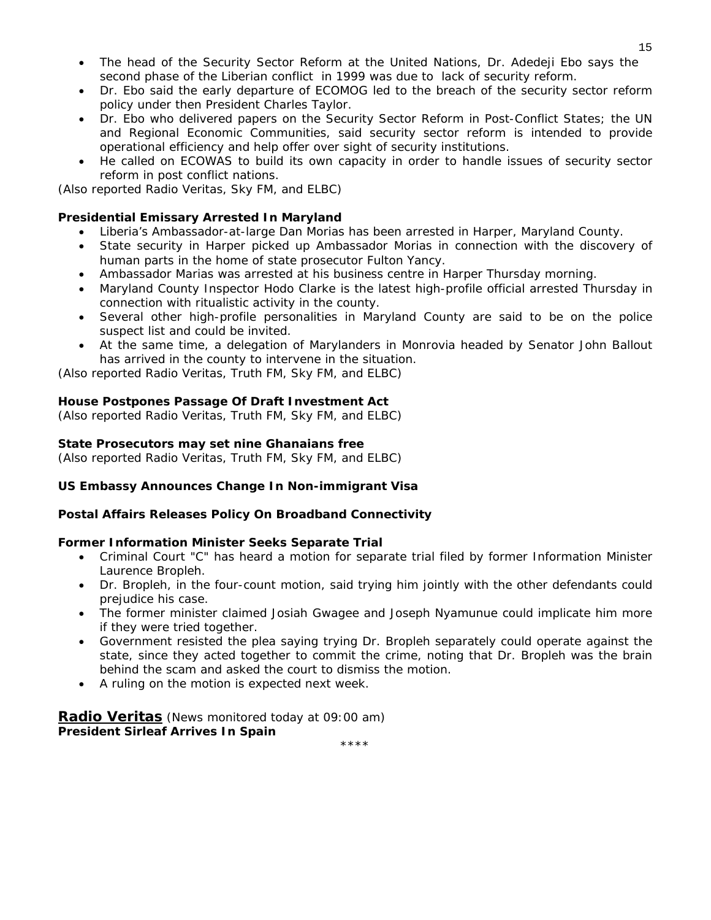- The head of the Security Sector Reform at the United Nations, Dr. Adedeji Ebo says the second phase of the Liberian conflict in 1999 was due to lack of security reform.
- Dr. Ebo said the early departure of ECOMOG led to the breach of the security sector reform policy under then President Charles Taylor.
- Dr. Ebo who delivered papers on the Security Sector Reform in Post-Conflict States; the UN and Regional Economic Communities, said security sector reform is intended to provide operational efficiency and help offer over sight of security institutions.
- He called on ECOWAS to build its own capacity in order to handle issues of security sector reform in post conflict nations.

*(Also reported Radio Veritas, Sky FM, and ELBC)*

#### **Presidential Emissary Arrested In Maryland**

- Liberia's Ambassador-at-large Dan Morias has been arrested in Harper, Maryland County.
- State security in Harper picked up Ambassador Morias in connection with the discovery of human parts in the home of state prosecutor Fulton Yancy.
- Ambassador Marias was arrested at his business centre in Harper Thursday morning.
- Maryland County Inspector Hodo Clarke is the latest high-profile official arrested Thursday in connection with ritualistic activity in the county.
- Several other high-profile personalities in Maryland County are said to be on the police suspect list and could be invited.
- At the same time, a delegation of Marylanders in Monrovia headed by Senator John Ballout has arrived in the county to intervene in the situation.

*(Also reported Radio Veritas, Truth FM, Sky FM, and ELBC)*

#### **House Postpones Passage Of Draft Investment Act**

*(Also reported Radio Veritas, Truth FM, Sky FM, and ELBC)*

#### **State Prosecutors may set nine Ghanaians free**

*(Also reported Radio Veritas, Truth FM, Sky FM, and ELBC)*

#### **US Embassy Announces Change In Non-immigrant Visa**

#### **Postal Affairs Releases Policy On Broadband Connectivity**

#### **Former Information Minister Seeks Separate Trial**

- Criminal Court "C" has heard a motion for separate trial filed by former Information Minister Laurence Bropleh.
- Dr. Bropleh, in the four-count motion, said trying him jointly with the other defendants could prejudice his case.
- The former minister claimed Josiah Gwagee and Joseph Nyamunue could implicate him more if they were tried together.
- Government resisted the plea saying trying Dr. Bropleh separately could operate against the state, since they acted together to commit the crime, noting that Dr. Bropleh was the brain behind the scam and asked the court to dismiss the motion.
- A ruling on the motion is expected next week.

**Radio Veritas** *(News monitored today at 09:00 am)* **President Sirleaf Arrives In Spain** 

\*\*\*\*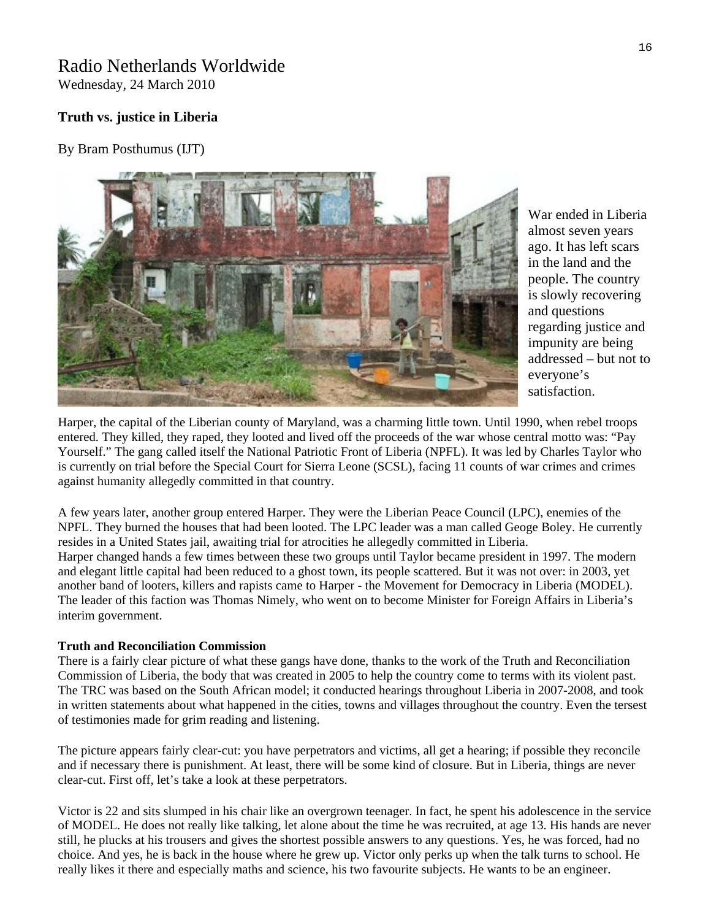# Radio Netherlands Worldwide

Wednesday, 24 March 2010

#### **Truth vs. justice in Liberia**

By [Bram Posthumus](http://www.rnw.nl/international-justice/users/bram-posthumus) [\(IJT](http://www.internationaljustice.nl/))



War ended in Liberia almost seven years ago. It has left scars in the land and the people. The country is slowly recovering and questions regarding justice and impunity are being addressed – but not to everyone's satisfaction.

Harper, the capital of the Liberian county of Maryland, was a charming little town. Until 1990, when rebel troops entered. They killed, they raped, they looted and lived off the proceeds of the war whose central motto was: "Pay Yourself." The gang called itself the National Patriotic Front of Liberia (NPFL). It was led by Charles Taylor who is currently on trial before the Special Court for Sierra Leone (SCSL), facing 11 counts of war crimes and crimes against humanity allegedly committed in that country.

A few years later, another group entered Harper. They were the Liberian Peace Council (LPC), enemies of the NPFL. They burned the houses that had been looted. The LPC leader was a man called Geoge Boley. He currently resides in a United States jail, awaiting trial for atrocities he allegedly committed in Liberia. Harper changed hands a few times between these two groups until Taylor became president in 1997. The modern and elegant little capital had been reduced to a ghost town, its people scattered. But it was not over: in 2003, yet another band of looters, killers and rapists came to Harper - the Movement for Democracy in Liberia (MODEL). The leader of this faction was Thomas Nimely, who went on to become Minister for Foreign Affairs in Liberia's interim government.

#### **Truth and Reconciliation Commission**

There is a fairly clear picture of what these gangs have done, thanks to the work of the Truth and Reconciliation Commission of Liberia, the body that was created in 2005 to help the country come to terms with its violent past. The TRC was based on the South African model; it conducted hearings throughout Liberia in 2007-2008, and took in written statements about what happened in the cities, towns and villages throughout the country. Even the tersest of testimonies made for grim reading and listening.

The picture appears fairly clear-cut: you have perpetrators and victims, all get a hearing; if possible they reconcile and if necessary there is punishment. At least, there will be some kind of closure. But in Liberia, things are never clear-cut. First off, let's take a look at these perpetrators.

Victor is 22 and sits slumped in his chair like an overgrown teenager. In fact, he spent his adolescence in the service of MODEL. He does not really like talking, let alone about the time he was recruited, at age 13. His hands are never still, he plucks at his trousers and gives the shortest possible answers to any questions. Yes, he was forced, had no choice. And yes, he is back in the house where he grew up. Victor only perks up when the talk turns to school. He really likes it there and especially maths and science, his two favourite subjects. He wants to be an engineer.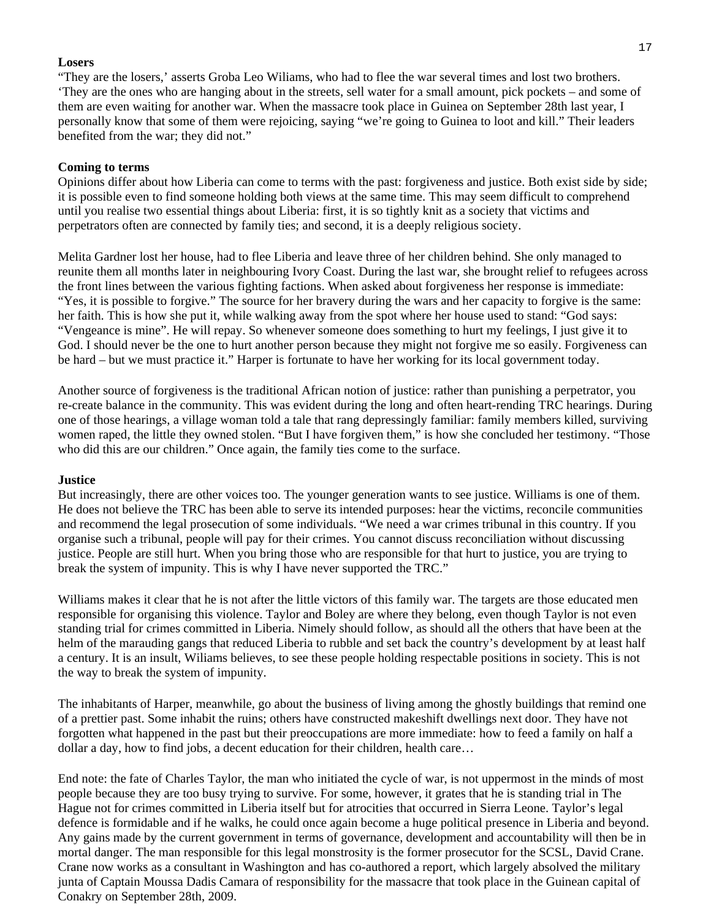#### **Losers**

"They are the losers,' asserts Groba Leo Wiliams, who had to flee the war several times and lost two brothers. 'They are the ones who are hanging about in the streets, sell water for a small amount, pick pockets – and some of them are even waiting for another war. When the massacre took place in Guinea on September 28th last year, I personally know that some of them were rejoicing, saying "we're going to Guinea to loot and kill." Their leaders benefited from the war; they did not."

#### **Coming to terms**

Opinions differ about how Liberia can come to terms with the past: forgiveness and justice. Both exist side by side; it is possible even to find someone holding both views at the same time. This may seem difficult to comprehend until you realise two essential things about Liberia: first, it is so tightly knit as a society that victims and perpetrators often are connected by family ties; and second, it is a deeply religious society.

Melita Gardner lost her house, had to flee Liberia and leave three of her children behind. She only managed to reunite them all months later in neighbouring Ivory Coast. During the last war, she brought relief to refugees across the front lines between the various fighting factions. When asked about forgiveness her response is immediate: "Yes, it is possible to forgive." The source for her bravery during the wars and her capacity to forgive is the same: her faith. This is how she put it, while walking away from the spot where her house used to stand: "God says: "Vengeance is mine". He will repay. So whenever someone does something to hurt my feelings, I just give it to God. I should never be the one to hurt another person because they might not forgive me so easily. Forgiveness can be hard – but we must practice it." Harper is fortunate to have her working for its local government today.

Another source of forgiveness is the traditional African notion of justice: rather than punishing a perpetrator, you re-create balance in the community. This was evident during the long and often heart-rending TRC hearings. During one of those hearings, a village woman told a tale that rang depressingly familiar: family members killed, surviving women raped, the little they owned stolen. "But I have forgiven them," is how she concluded her testimony. "Those who did this are our children." Once again, the family ties come to the surface.

#### **Justice**

But increasingly, there are other voices too. The younger generation wants to see justice. Williams is one of them. He does not believe the TRC has been able to serve its intended purposes: hear the victims, reconcile communities and recommend the legal prosecution of some individuals. "We need a war crimes tribunal in this country. If you organise such a tribunal, people will pay for their crimes. You cannot discuss reconciliation without discussing justice. People are still hurt. When you bring those who are responsible for that hurt to justice, you are trying to break the system of impunity. This is why I have never supported the TRC."

Williams makes it clear that he is not after the little victors of this family war. The targets are those educated men responsible for organising this violence. Taylor and Boley are where they belong, even though Taylor is not even standing trial for crimes committed in Liberia. Nimely should follow, as should all the others that have been at the helm of the marauding gangs that reduced Liberia to rubble and set back the country's development by at least half a century. It is an insult, Wiliams believes, to see these people holding respectable positions in society. This is not the way to break the system of impunity.

The inhabitants of Harper, meanwhile, go about the business of living among the ghostly buildings that remind one of a prettier past. Some inhabit the ruins; others have constructed makeshift dwellings next door. They have not forgotten what happened in the past but their preoccupations are more immediate: how to feed a family on half a dollar a day, how to find jobs, a decent education for their children, health care…

End note: the fate of Charles Taylor, the man who initiated the cycle of war, is not uppermost in the minds of most people because they are too busy trying to survive. For some, however, it grates that he is standing trial in The Hague not for crimes committed in Liberia itself but for atrocities that occurred in Sierra Leone. Taylor's legal defence is formidable and if he walks, he could once again become a huge political presence in Liberia and beyond. Any gains made by the current government in terms of governance, development and accountability will then be in mortal danger. The man responsible for this legal monstrosity is the former prosecutor for the SCSL, David Crane. Crane now works as a consultant in Washington and has co-authored a report, which largely absolved the military junta of Captain Moussa Dadis Camara of responsibility for the massacre that took place in the Guinean capital of Conakry on September 28th, 2009.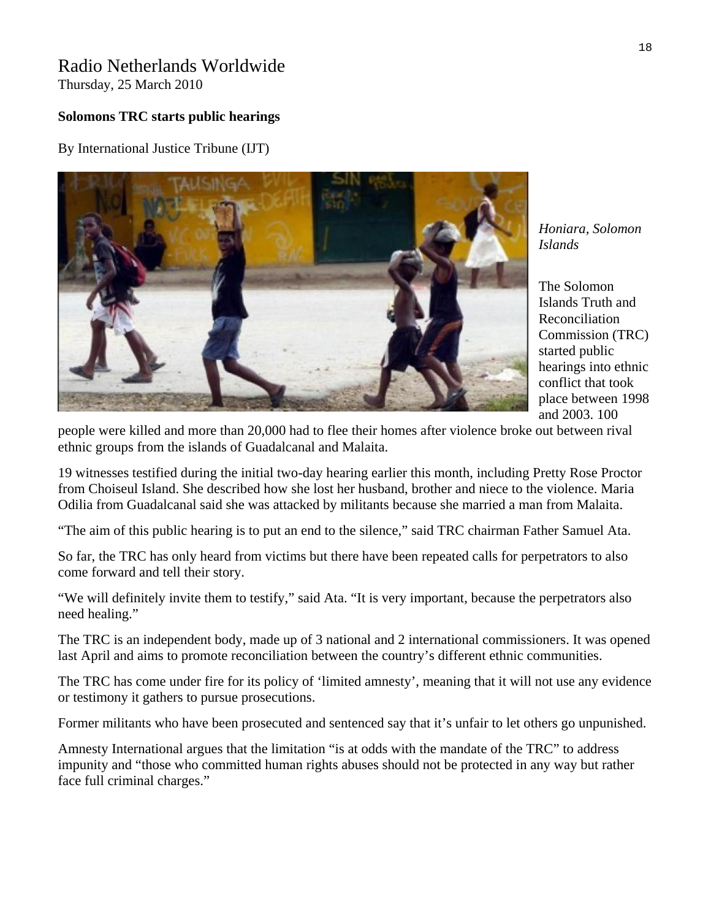# Radio Netherlands Worldwide

Thursday, 25 March 2010

### **Solomons TRC starts public hearings**

By International Justice Tribune (IJT)



*Honiara, Solomon Islands* 

The Solomon Islands Truth and Reconciliation Commission (TRC) started public hearings into ethnic conflict that took place between 1998 and 2003. 100

people were killed and more than 20,000 had to flee their homes after violence broke out between rival ethnic groups from the islands of Guadalcanal and Malaita.

19 witnesses testified during the initial two-day hearing earlier this month, including Pretty Rose Proctor from Choiseul Island. She described how she lost her husband, brother and niece to the violence. Maria Odilia from Guadalcanal said she was attacked by militants because she married a man from Malaita.

"The aim of this public hearing is to put an end to the silence," said TRC chairman Father Samuel Ata.

So far, the TRC has only heard from victims but there have been repeated calls for perpetrators to also come forward and tell their story.

"We will definitely invite them to testify," said Ata. "It is very important, because the perpetrators also need healing."

The TRC is an independent body, made up of 3 national and 2 international commissioners. It was opened last April and aims to promote reconciliation between the country's different ethnic communities.

The TRC has come under fire for its policy of 'limited amnesty', meaning that it will not use any evidence or testimony it gathers to pursue prosecutions.

Former militants who have been prosecuted and sentenced say that it's unfair to let others go unpunished.

Amnesty International argues that the limitation "is at odds with the mandate of the TRC" to address impunity and "those who committed human rights abuses should not be protected in any way but rather face full criminal charges."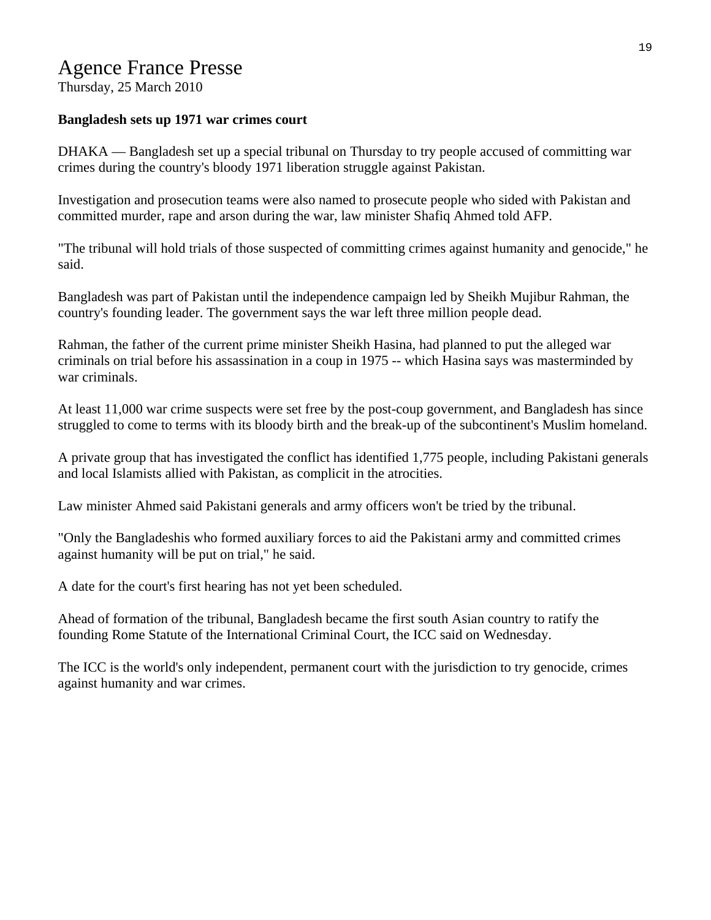## Agence France Presse

Thursday, 25 March 2010

#### **Bangladesh sets up 1971 war crimes court**

DHAKA — Bangladesh set up a special tribunal on Thursday to try people accused of committing war crimes during the country's bloody 1971 liberation struggle against Pakistan.

Investigation and prosecution teams were also named to prosecute people who sided with Pakistan and committed murder, rape and arson during the war, law minister Shafiq Ahmed told AFP.

"The tribunal will hold trials of those suspected of committing crimes against humanity and genocide," he said.

Bangladesh was part of Pakistan until the independence campaign led by Sheikh Mujibur Rahman, the country's founding leader. The government says the war left three million people dead.

Rahman, the father of the current prime minister Sheikh Hasina, had planned to put the alleged war criminals on trial before his assassination in a coup in 1975 -- which Hasina says was masterminded by war criminals.

At least 11,000 war crime suspects were set free by the post-coup government, and Bangladesh has since struggled to come to terms with its bloody birth and the break-up of the subcontinent's Muslim homeland.

A private group that has investigated the conflict has identified 1,775 people, including Pakistani generals and local Islamists allied with Pakistan, as complicit in the atrocities.

Law minister Ahmed said Pakistani generals and army officers won't be tried by the tribunal.

"Only the Bangladeshis who formed auxiliary forces to aid the Pakistani army and committed crimes against humanity will be put on trial," he said.

A date for the court's first hearing has not yet been scheduled.

Ahead of formation of the tribunal, Bangladesh became the first south Asian country to ratify the founding Rome Statute of the International Criminal Court, the ICC said on Wednesday.

The ICC is the world's only independent, permanent court with the jurisdiction to try genocide, crimes against humanity and war crimes.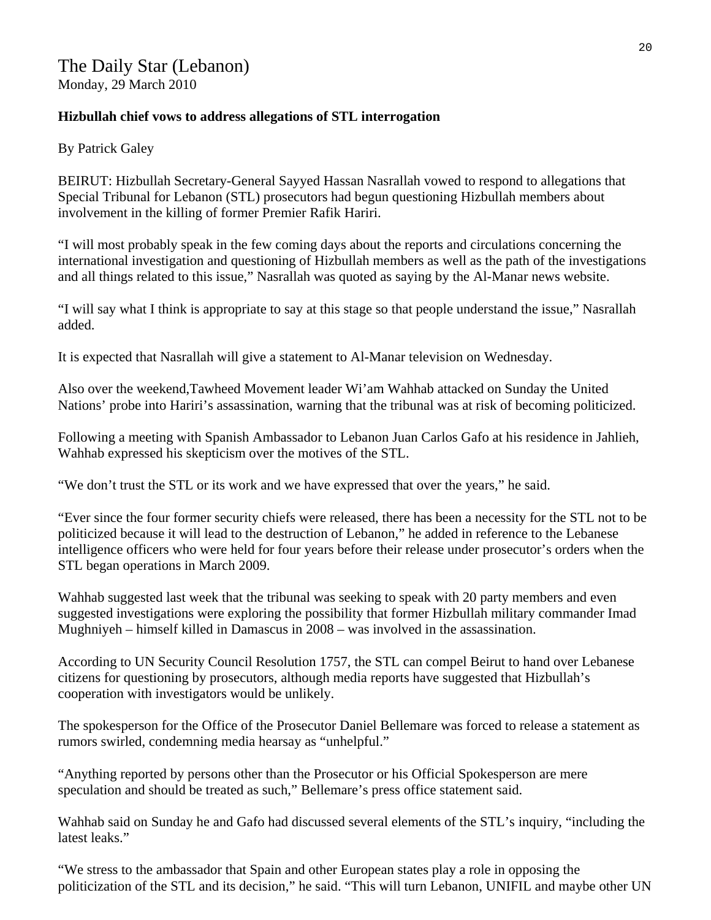### **Hizbullah chief vows to address allegations of STL interrogation**

By Patrick Galey

BEIRUT: Hizbullah Secretary-General Sayyed Hassan Nasrallah vowed to respond to allegations that Special Tribunal for Lebanon (STL) prosecutors had begun questioning Hizbullah members about involvement in the killing of former Premier Rafik Hariri.

"I will most probably speak in the few coming days about the reports and circulations concerning the international investigation and questioning of Hizbullah members as well as the path of the investigations and all things related to this issue," Nasrallah was quoted as saying by the Al-Manar news website.

"I will say what I think is appropriate to say at this stage so that people understand the issue," Nasrallah added.

It is expected that Nasrallah will give a statement to Al-Manar television on Wednesday.

Also over the weekend,Tawheed Movement leader Wi'am Wahhab attacked on Sunday the United Nations' probe into Hariri's assassination, warning that the tribunal was at risk of becoming politicized.

Following a meeting with Spanish Ambassador to Lebanon Juan Carlos Gafo at his residence in Jahlieh, Wahhab expressed his skepticism over the motives of the STL.

"We don't trust the STL or its work and we have expressed that over the years," he said.

"Ever since the four former security chiefs were released, there has been a necessity for the STL not to be politicized because it will lead to the destruction of Lebanon," he added in reference to the Lebanese intelligence officers who were held for four years before their release under prosecutor's orders when the STL began operations in March 2009.

Wahhab suggested last week that the tribunal was seeking to speak with 20 party members and even suggested investigations were exploring the possibility that former Hizbullah military commander Imad Mughniyeh – himself killed in Damascus in 2008 – was involved in the assassination.

According to UN Security Council Resolution 1757, the STL can compel Beirut to hand over Lebanese citizens for questioning by prosecutors, although media reports have suggested that Hizbullah's cooperation with investigators would be unlikely.

The spokesperson for the Office of the Prosecutor Daniel Bellemare was forced to release a statement as rumors swirled, condemning media hearsay as "unhelpful."

"Anything reported by persons other than the Prosecutor or his Official Spokesperson are mere speculation and should be treated as such," Bellemare's press office statement said.

Wahhab said on Sunday he and Gafo had discussed several elements of the STL's inquiry, "including the latest leaks."

"We stress to the ambassador that Spain and other European states play a role in opposing the politicization of the STL and its decision," he said. "This will turn Lebanon, UNIFIL and maybe other UN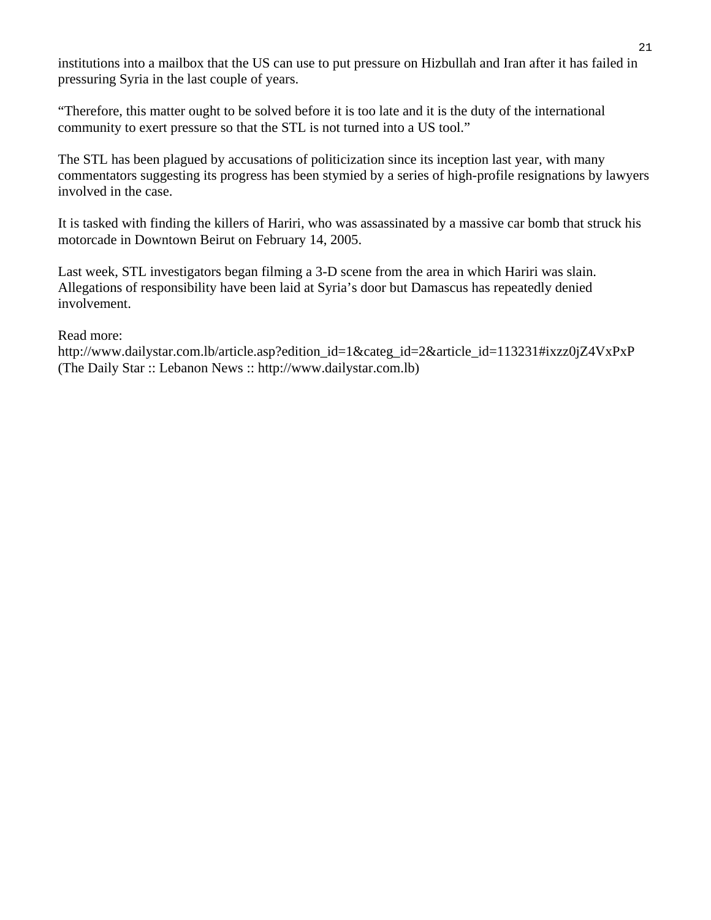institutions into a mailbox that the US can use to put pressure on Hizbullah and Iran after it has failed in pressuring Syria in the last couple of years.

"Therefore, this matter ought to be solved before it is too late and it is the duty of the international community to exert pressure so that the STL is not turned into a US tool."

The STL has been plagued by accusations of politicization since its inception last year, with many commentators suggesting its progress has been stymied by a series of high-profile resignations by lawyers involved in the case.

It is tasked with finding the killers of Hariri, who was assassinated by a massive car bomb that struck his motorcade in Downtown Beirut on February 14, 2005.

Last week, STL investigators began filming a 3-D scene from the area in which Hariri was slain. Allegations of responsibility have been laid at Syria's door but Damascus has repeatedly denied involvement.

Read more:

http://www.dailystar.com.lb/article.asp?edition\_id=1&categ\_id=2&article\_id=113231#ixzz0jZ4VxPxP (The Daily Star :: Lebanon News :: http://www.dailystar.com.lb)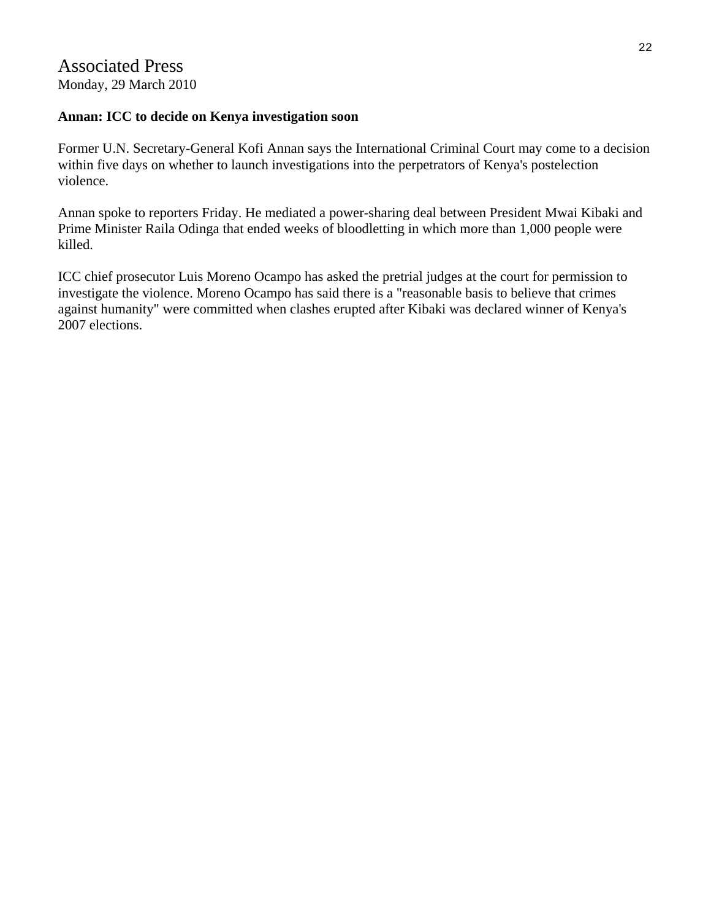#### **Annan: ICC to decide on Kenya investigation soon**

Former U.N. Secretary-General Kofi Annan says the International Criminal Court may come to a decision within five days on whether to launch investigations into the perpetrators of Kenya's postelection violence.

Annan spoke to reporters Friday. He mediated a power-sharing deal between President Mwai Kibaki and Prime Minister Raila Odinga that ended weeks of bloodletting in which more than 1,000 people were killed.

ICC chief prosecutor Luis Moreno Ocampo has asked the pretrial judges at the court for permission to investigate the violence. Moreno Ocampo has said there is a "reasonable basis to believe that crimes against humanity" were committed when clashes erupted after Kibaki was declared winner of Kenya's 2007 elections.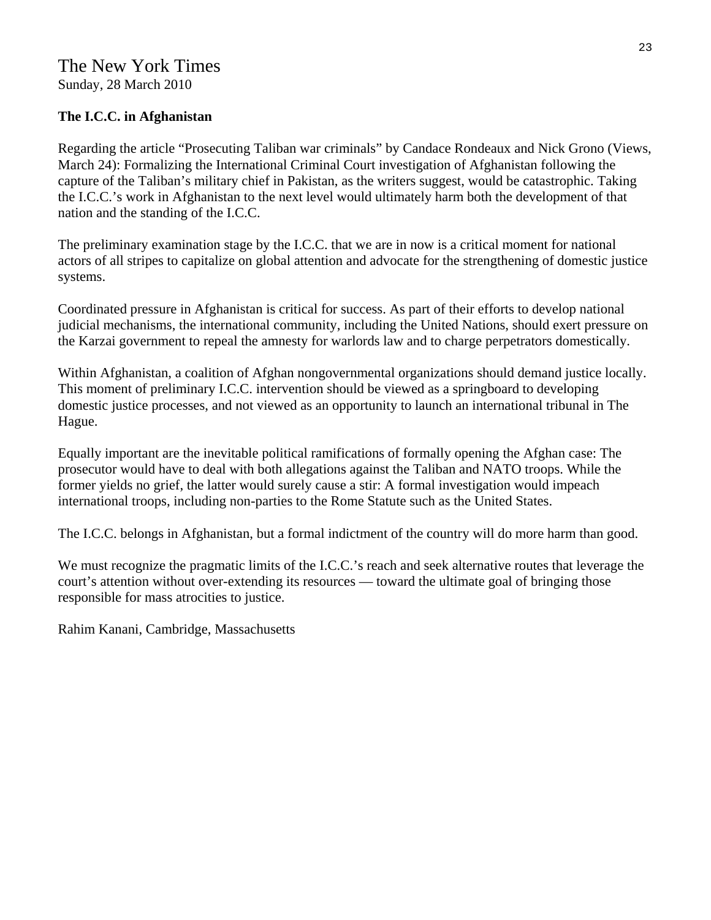### **The I.C.C. in Afghanistan**

Regarding the article "Prosecuting Taliban war criminals" by Candace Rondeaux and Nick Grono (Views, March 24): Formalizing the International Criminal Court investigation of Afghanistan following the capture of the Taliban's military chief in Pakistan, as the writers suggest, would be catastrophic. Taking the I.C.C.'s work in Afghanistan to the next level would ultimately harm both the development of that nation and the standing of the I.C.C.

The preliminary examination stage by the I.C.C. that we are in now is a critical moment for national actors of all stripes to capitalize on global attention and advocate for the strengthening of domestic justice systems.

Coordinated pressure in Afghanistan is critical for success. As part of their efforts to develop national judicial mechanisms, the international community, including the United Nations, should exert pressure on the Karzai government to repeal the amnesty for warlords law and to charge perpetrators domestically.

Within Afghanistan, a coalition of Afghan nongovernmental organizations should demand justice locally. This moment of preliminary I.C.C. intervention should be viewed as a springboard to developing domestic justice processes, and not viewed as an opportunity to launch an international tribunal in The Hague.

Equally important are the inevitable political ramifications of formally opening the Afghan case: The prosecutor would have to deal with both allegations against the Taliban and NATO troops. While the former yields no grief, the latter would surely cause a stir: A formal investigation would impeach international troops, including non-parties to the Rome Statute such as the United States.

The I.C.C. belongs in Afghanistan, but a formal indictment of the country will do more harm than good.

We must recognize the pragmatic limits of the I.C.C.'s reach and seek alternative routes that leverage the court's attention without over-extending its resources — toward the ultimate goal of bringing those responsible for mass atrocities to justice.

Rahim Kanani, Cambridge, Massachusetts